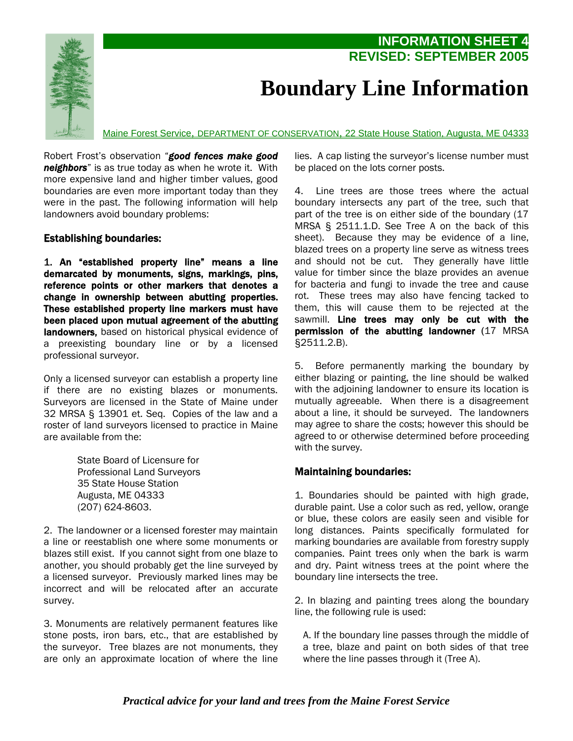

## **Boundary Line Information**

**INFORMATION SHEET 4** 

**REVISED: SEPTEMBER 2005** 

Maine Forest Service, DEPARTMENT OF CONSERVATION, 22 State House Station, Augusta, ME 04333

Robert Frost's observation "*good fences make good neighbors*" is as true today as when he wrote it. With more expensive land and higher timber values, good boundaries are even more important today than they were in the past. The following information will help landowners avoid boundary problems:

## Establishing boundaries:

1. An "established property line" means a line demarcated by monuments, signs, markings, pins, reference points or other markers that denotes a change in ownership between abutting properties. These established property line markers must have been placed upon mutual agreement of the abutting landowners, based on historical physical evidence of a preexisting boundary line or by a licensed professional surveyor.

Only a licensed surveyor can establish a property line if there are no existing blazes or monuments. Surveyors are licensed in the State of Maine under 32 MRSA § 13901 et. Seq. Copies of the law and a roster of land surveyors licensed to practice in Maine are available from the:

> State Board of Licensure for Professional Land Surveyors 35 State House Station Augusta, ME 04333 (207) 624-8603.

2. The landowner or a licensed forester may maintain a line or reestablish one where some monuments or blazes still exist. If you cannot sight from one blaze to another, you should probably get the line surveyed by a licensed surveyor. Previously marked lines may be incorrect and will be relocated after an accurate survey.

3. Monuments are relatively permanent features like stone posts, iron bars, etc., that are established by the surveyor. Tree blazes are not monuments, they are only an approximate location of where the line lies. A cap listing the surveyor's license number must be placed on the lots corner posts.

4. Line trees are those trees where the actual boundary intersects any part of the tree, such that part of the tree is on either side of the boundary (17 MRSA § 2511.1.D. See Tree A on the back of this sheet). Because they may be evidence of a line, blazed trees on a property line serve as witness trees and should not be cut. They generally have little value for timber since the blaze provides an avenue for bacteria and fungi to invade the tree and cause rot. These trees may also have fencing tacked to them, this will cause them to be rejected at the sawmill. Line trees may only be cut with the permission of the abutting landowner (17 MRSA §2511.2.B).

5. Before permanently marking the boundary by either blazing or painting, the line should be walked with the adjoining landowner to ensure its location is mutually agreeable. When there is a disagreement about a line, it should be surveyed. The landowners may agree to share the costs; however this should be agreed to or otherwise determined before proceeding with the survey.

## Maintaining boundaries:

1. Boundaries should be painted with high grade, durable paint. Use a color such as red, yellow, orange or blue, these colors are easily seen and visible for long distances. Paints specifically formulated for marking boundaries are available from forestry supply companies. Paint trees only when the bark is warm and dry. Paint witness trees at the point where the boundary line intersects the tree.

2. In blazing and painting trees along the boundary line, the following rule is used:

A. If the boundary line passes through the middle of a tree, blaze and paint on both sides of that tree where the line passes through it (Tree A).